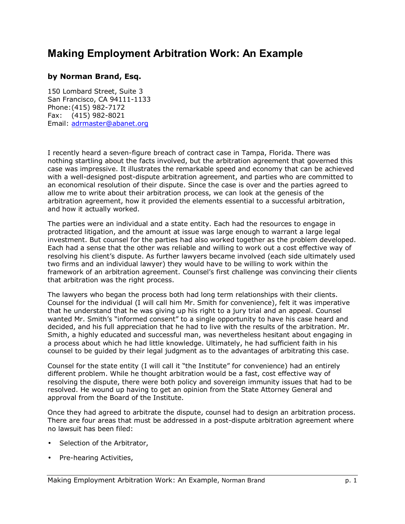## **Making Employment Arbitration Work: An Example**

## **by Norman Brand, Esq.**

150 Lombard Street, Suite 3 San Francisco, CA 94111-1133 Phone: (415) 982-7172 Fax: (415) 982-8021 Email: adrmaster@abanet.org

I recently heard a seven-figure breach of contract case in Tampa, Florida. There was nothing startling about the facts involved, but the arbitration agreement that governed this case was impressive. It illustrates the remarkable speed and economy that can be achieved with a well-designed post-dispute arbitration agreement, and parties who are committed to an economical resolution of their dispute. Since the case is over and the parties agreed to allow me to write about their arbitration process, we can look at the genesis of the arbitration agreement, how it provided the elements essential to a successful arbitration, and how it actually worked.

The parties were an individual and a state entity. Each had the resources to engage in protracted litigation, and the amount at issue was large enough to warrant a large legal investment. But counsel for the parties had also worked together as the problem developed. Each had a sense that the other was reliable and willing to work out a cost effective way of resolving his client's dispute. As further lawyers became involved (each side ultimately used two firms and an individual lawyer) they would have to be willing to work within the framework of an arbitration agreement. Counselís first challenge was convincing their clients that arbitration was the right process.

The lawyers who began the process both had long term relationships with their clients. Counsel for the individual (I will call him Mr. Smith for convenience), felt it was imperative that he understand that he was giving up his right to a jury trial and an appeal. Counsel wanted Mr. Smith's "informed consent" to a single opportunity to have his case heard and decided, and his full appreciation that he had to live with the results of the arbitration. Mr. Smith, a highly educated and successful man, was nevertheless hesitant about engaging in a process about which he had little knowledge. Ultimately, he had sufficient faith in his counsel to be guided by their legal judgment as to the advantages of arbitrating this case.

Counsel for the state entity (I will call it "the Institute" for convenience) had an entirely different problem. While he thought arbitration would be a fast, cost effective way of resolving the dispute, there were both policy and sovereign immunity issues that had to be resolved. He wound up having to get an opinion from the State Attorney General and approval from the Board of the Institute.

Once they had agreed to arbitrate the dispute, counsel had to design an arbitration process. There are four areas that must be addressed in a post-dispute arbitration agreement where no lawsuit has been filed:

- Selection of the Arbitrator,
- Pre-hearing Activities,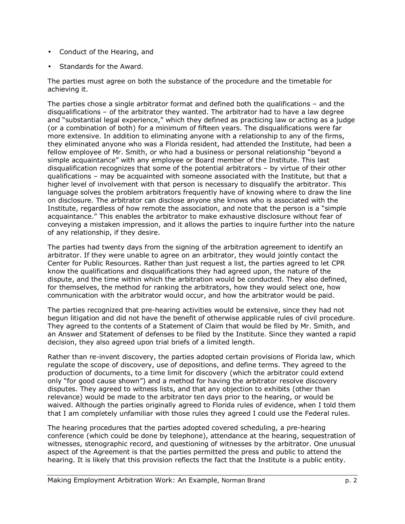- Conduct of the Hearing, and
- Standards for the Award.

The parties must agree on both the substance of the procedure and the timetable for achieving it.

The parties chose a single arbitrator format and defined both the qualifications  $-$  and the disqualifications  $-$  of the arbitrator they wanted. The arbitrator had to have a law degree and "substantial legal experience," which they defined as practicing law or acting as a judge (or a combination of both) for a minimum of fifteen years. The disqualifications were far more extensive. In addition to eliminating anyone with a relationship to any of the firms, they eliminated anyone who was a Florida resident, had attended the Institute, had been a fellow employee of Mr. Smith, or who had a business or personal relationship "beyond a simple acquaintance" with any employee or Board member of the Institute. This last disqualification recognizes that some of the potential arbitrators  $-$  by virtue of their other qualifications – may be acquainted with someone associated with the Institute, but that a higher level of involvement with that person is necessary to disqualify the arbitrator. This language solves the problem arbitrators frequently have of knowing where to draw the line on disclosure. The arbitrator can disclose anyone she knows who is associated with the Institute, regardless of how remote the association, and note that the person is a "simple" acquaintance.î This enables the arbitrator to make exhaustive disclosure without fear of conveying a mistaken impression, and it allows the parties to inquire further into the nature of any relationship, if they desire.

The parties had twenty days from the signing of the arbitration agreement to identify an arbitrator. If they were unable to agree on an arbitrator, they would jointly contact the Center for Public Resources. Rather than just request a list, the parties agreed to let CPR know the qualifications and disqualifications they had agreed upon, the nature of the dispute, and the time within which the arbitration would be conducted. They also defined, for themselves, the method for ranking the arbitrators, how they would select one, how communication with the arbitrator would occur, and how the arbitrator would be paid.

The parties recognized that pre-hearing activities would be extensive, since they had not begun litigation and did not have the benefit of otherwise applicable rules of civil procedure. They agreed to the contents of a Statement of Claim that would be filed by Mr. Smith, and an Answer and Statement of defenses to be filed by the Institute. Since they wanted a rapid decision, they also agreed upon trial briefs of a limited length.

Rather than re-invent discovery, the parties adopted certain provisions of Florida law, which regulate the scope of discovery, use of depositions, and define terms. They agreed to the production of documents, to a time limit for discovery (which the arbitrator could extend only "for good cause shown") and a method for having the arbitrator resolve discovery disputes. They agreed to witness lists, and that any objection to exhibits (other than relevance) would be made to the arbitrator ten days prior to the hearing, or would be waived. Although the parties originally agreed to Florida rules of evidence, when I told them that I am completely unfamiliar with those rules they agreed I could use the Federal rules.

The hearing procedures that the parties adopted covered scheduling, a pre-hearing conference (which could be done by telephone), attendance at the hearing, sequestration of witnesses, stenographic record, and questioning of witnesses by the arbitrator. One unusual aspect of the Agreement is that the parties permitted the press and public to attend the hearing. It is likely that this provision reflects the fact that the Institute is a public entity.